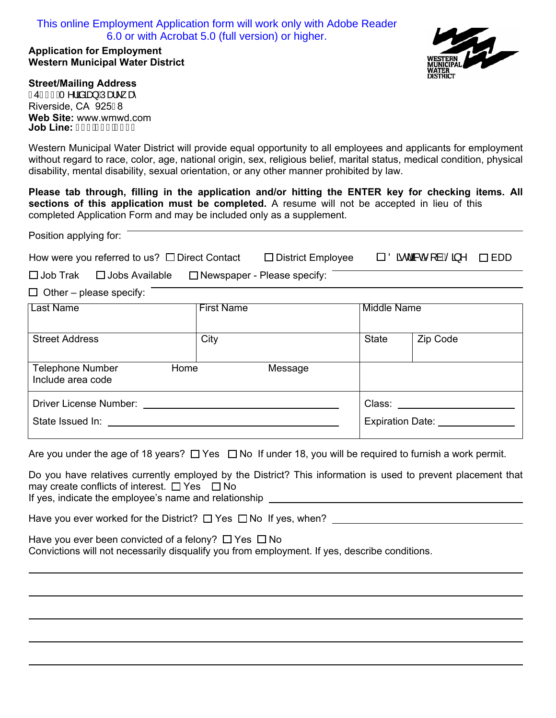# This online Employment Application form will work only with Adobe Reader 6.0 or with Acrobat 5.0 (full version) or higher.

### **Application for Employment Western Municipal Water District**



#### **Street/Mailing Address**

 $\overline{a}$ 

 $\overline{a}$ 

 $F4G \in \tilde{A} \cap \tilde{a}$ ã $\tilde{a}$ a) $\tilde{A}$ Ua $\tilde{c}$ Riverside, CA 925F8 **Web Site:** www.wmwd.com **Job Line:**

Western Municipal Water District will provide equal opportunity to all employees and applicants for employment without regard to race, color, age, national origin, sex, religious belief, marital status, medical condition, physical disability, mental disability, sexual orientation, or any other manner prohibited by law.

**Please tab through, filling in the application and/or hitting the ENTER key for checking items. All sections of this application must be completed.** A resume will not be accepted in lieu of this completed Application Form and may be included only as a supplement.

| Position applying for:                                                            |                   |                          |                                                              |          |  |  |
|-----------------------------------------------------------------------------------|-------------------|--------------------------|--------------------------------------------------------------|----------|--|--|
| How were you referred to us? $\Box$ Direct Contact                                |                   | $\Box$ District Employee | $\square$ Öãrda Rom $\hat{a}$ Á $\hat{a}$ ^<br>$\square$ EDD |          |  |  |
| $\Box$ Newspaper - Please specify:<br>$\square$ Job Trak<br>$\Box$ Jobs Available |                   |                          |                                                              |          |  |  |
| $\Box$ Other – please specify:                                                    |                   |                          |                                                              |          |  |  |
| Last Name                                                                         | <b>First Name</b> |                          | Middle Name                                                  |          |  |  |
| <b>Street Address</b>                                                             | City              |                          | <b>State</b>                                                 | Zip Code |  |  |
| <b>Telephone Number</b><br>Home<br>Message<br>Include area code                   |                   |                          |                                                              |          |  |  |
| <b>Driver License Number:</b>                                                     |                   | Class:                   |                                                              |          |  |  |

State Issued In: Expiration Date: \_\_\_\_\_\_\_\_\_\_

Are you under the age of 18 years?  $\Box$  Yes  $\Box$  No If under 18, you will be required to furnish a work permit.

Do you have relatives currently employed by the District? This information is used to prevent placement that may create conflicts of interest.  $\Box$  Yes  $\Box$  No If yes, indicate the employee's name and relationship

Have you ever worked for the District?  $\Box$  Yes  $\Box$  No If yes, when?  $\Box$ 

Have you ever been convicted of a felony?  $\Box$  Yes  $\Box$  No Convictions will not necessarily disqualify you from employment. If yes, describe conditions.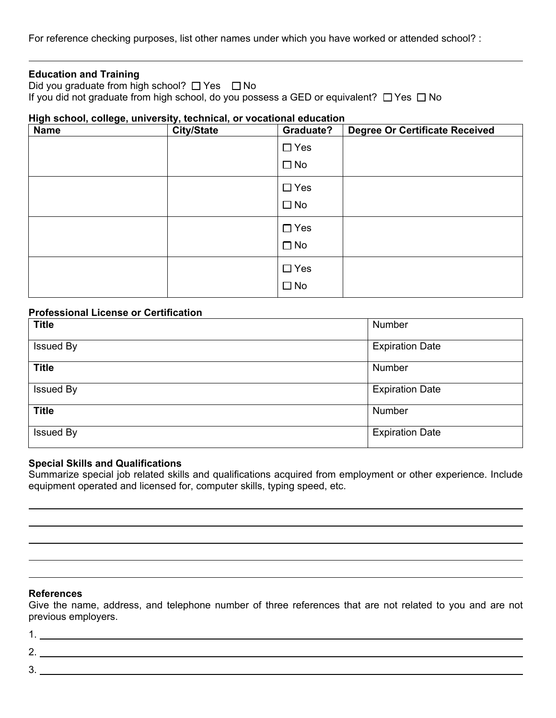For reference checking purposes, list other names under which you have worked or attended school? :

## **Education and Training**

Did you graduate from high school?  $\Box$  Yes  $\Box$  No If you did not graduate from high school, do you possess a GED or equivalent?  $\Box$  Yes  $\Box$  No

### **High school, college, university, technical, or vocational education**

| <b>Name</b> | <b>City/State</b> | Graduate?    | <b>Degree Or Certificate Received</b> |
|-------------|-------------------|--------------|---------------------------------------|
|             |                   | $\Box$ Yes   |                                       |
|             |                   | $\square$ No |                                       |
|             |                   | $\Box$ Yes   |                                       |
|             |                   | $\square$ No |                                       |
|             |                   | $\Box$ Yes   |                                       |
|             |                   | $\square$ No |                                       |
|             |                   | $\Box$ Yes   |                                       |
|             |                   | $\square$ No |                                       |

## **Professional License or Certification**

| <b>Title</b>     | Number                 |
|------------------|------------------------|
| <b>Issued By</b> | <b>Expiration Date</b> |
| <b>Title</b>     | Number                 |
| <b>Issued By</b> | <b>Expiration Date</b> |
| <b>Title</b>     | Number                 |
| <b>Issued By</b> | <b>Expiration Date</b> |

### **Special Skills and Qualifications**

Summarize special job related skills and qualifications acquired from employment or other experience. Include equipment operated and licensed for, computer skills, typing speed, etc.

## **References**

Give the name, address, and telephone number of three references that are not related to you and are not previous employers.

1.

 $\overline{a}$  $\overline{a}$ 

- 2.
- 3.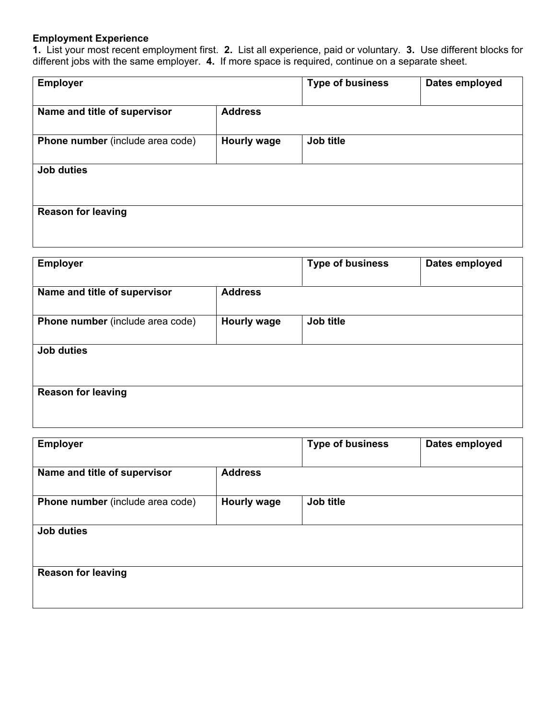# **Employment Experience**

**1.** List your most recent employment first. **2.** List all experience, paid or voluntary. **3.** Use different blocks for different jobs with the same employer. **4.** If more space is required, continue on a separate sheet.

| <b>Employer</b>                         |                    | <b>Type of business</b> | Dates employed |
|-----------------------------------------|--------------------|-------------------------|----------------|
| Name and title of supervisor            | <b>Address</b>     |                         |                |
| <b>Phone number</b> (include area code) | <b>Hourly wage</b> | Job title               |                |
| <b>Job duties</b>                       |                    |                         |                |
| <b>Reason for leaving</b>               |                    |                         |                |
|                                         |                    |                         |                |

| <b>Employer</b>                  |                    | <b>Type of business</b> | Dates employed |
|----------------------------------|--------------------|-------------------------|----------------|
|                                  |                    |                         |                |
| Name and title of supervisor     | <b>Address</b>     |                         |                |
|                                  |                    |                         |                |
| Phone number (include area code) | <b>Hourly wage</b> | Job title               |                |
|                                  |                    |                         |                |
| <b>Job duties</b>                |                    |                         |                |
|                                  |                    |                         |                |
|                                  |                    |                         |                |
| <b>Reason for leaving</b>        |                    |                         |                |
|                                  |                    |                         |                |

<u> 1980 - Johann Stoff, deutscher Stoff, der Stoff, der Stoff, der Stoff, der Stoff, der Stoff, der Stoff, der S</u>

| <b>Employer</b>                         |                    | <b>Type of business</b> | Dates employed |
|-----------------------------------------|--------------------|-------------------------|----------------|
| Name and title of supervisor            | <b>Address</b>     |                         |                |
|                                         |                    |                         |                |
| <b>Phone number</b> (include area code) | <b>Hourly wage</b> | Job title               |                |
|                                         |                    |                         |                |
| <b>Job duties</b>                       |                    |                         |                |
|                                         |                    |                         |                |
| <b>Reason for leaving</b>               |                    |                         |                |
|                                         |                    |                         |                |
|                                         |                    |                         |                |